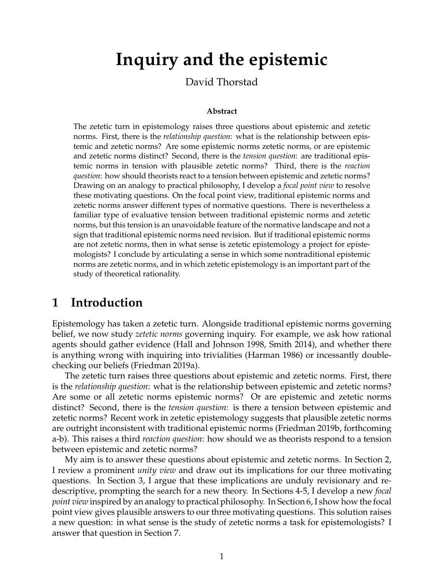# **Inquiry and the epistemic**

#### David Thorstad

#### **Abstract**

The zetetic turn in epistemology raises three questions about epistemic and zetetic norms. First, there is the *relationship question*: what is the relationship between epistemic and zetetic norms? Are some epistemic norms zetetic norms, or are epistemic and zetetic norms distinct? Second, there is the *tension question*: are traditional epistemic norms in tension with plausible zetetic norms? Third, there is the *reaction question*: how should theorists react to a tension between epistemic and zetetic norms? Drawing on an analogy to practical philosophy, I develop a *focal point view* to resolve these motivating questions. On the focal point view, traditional epistemic norms and zetetic norms answer different types of normative questions. There is nevertheless a familiar type of evaluative tension between traditional epistemic norms and zetetic norms, but this tension is an unavoidable feature of the normative landscape and not a sign that traditional epistemic norms need revision. But if traditional epistemic norms are not zetetic norms, then in what sense is zetetic epistemology a project for epistemologists? I conclude by articulating a sense in which some nontraditional epistemic norms are zetetic norms, and in which zetetic epistemology is an important part of the study of theoretical rationality.

## **1 Introduction**

Epistemology has taken a zetetic turn. Alongside traditional epistemic norms governing belief, we now study *zetetic norms* governing inquiry. For example, we ask how rational agents should gather evidence (Hall and Johnson 1998, Smith 2014), and whether there is anything wrong with inquiring into trivialities (Harman 1986) or incessantly doublechecking our beliefs (Friedman 2019a).

The zetetic turn raises three questions about epistemic and zetetic norms. First, there is the *relationship question*: what is the relationship between epistemic and zetetic norms? Are some or all zetetic norms epistemic norms? Or are epistemic and zetetic norms distinct? Second, there is the *tension question*: is there a tension between epistemic and zetetic norms? Recent work in zetetic epistemology suggests that plausible zetetic norms are outright inconsistent with traditional epistemic norms (Friedman 2019b, forthcoming a-b). This raises a third *reaction question*: how should we as theorists respond to a tension between epistemic and zetetic norms?

My aim is to answer these questions about epistemic and zetetic norms. In Section 2, I review a prominent *unity view* and draw out its implications for our three motivating questions. In Section 3, I argue that these implications are unduly revisionary and redescriptive, prompting the search for a new theory. In Sections 4-5, I develop a new *focal point view* inspired by an analogy to practical philosophy. In Section 6, I show how the focal point view gives plausible answers to our three motivating questions. This solution raises a new question: in what sense is the study of zetetic norms a task for epistemologists? I answer that question in Section 7.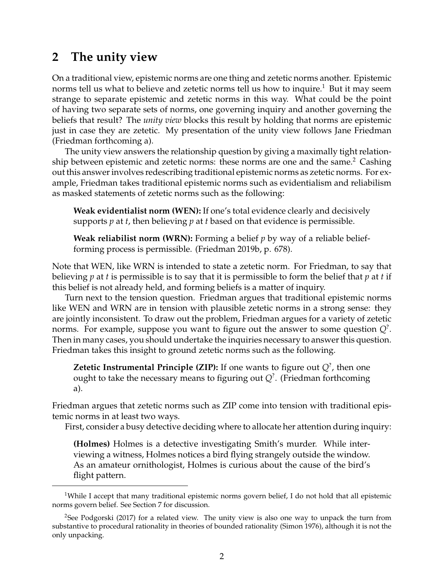## **2 The unity view**

On a traditional view, epistemic norms are one thing and zetetic norms another. Epistemic norms tell us what to believe and zetetic norms tell us how to inquire.<sup>1</sup> But it may seem strange to separate epistemic and zetetic norms in this way. What could be the point of having two separate sets of norms, one governing inquiry and another governing the beliefs that result? The *unity view* blocks this result by holding that norms are epistemic just in case they are zetetic. My presentation of the unity view follows Jane Friedman (Friedman forthcoming a).

The unity view answers the relationship question by giving a maximally tight relationship between epistemic and zetetic norms: these norms are one and the same.<sup>2</sup> Cashing out this answer involves redescribing traditional epistemic norms as zetetic norms. For example, Friedman takes traditional epistemic norms such as evidentialism and reliabilism as masked statements of zetetic norms such as the following:

**Weak evidentialist norm (WEN):** If one's total evidence clearly and decisively supports *p* at *t*, then believing *p* at *t* based on that evidence is permissible.

**Weak reliabilist norm (WRN):** Forming a belief *p* by way of a reliable beliefforming process is permissible. (Friedman 2019b, p. 678).

Note that WEN, like WRN is intended to state a zetetic norm. For Friedman, to say that believing *p* at *t* is permissible is to say that it is permissible to form the belief that *p* at *t* if this belief is not already held, and forming beliefs is a matter of inquiry.

Turn next to the tension question. Friedman argues that traditional epistemic norms like WEN and WRN are in tension with plausible zetetic norms in a strong sense: they are jointly inconsistent. To draw out the problem, Friedman argues for a variety of zetetic norms. For example, suppose you want to figure out the answer to some question *Q*? . Then in many cases, you should undertake the inquiries necessary to answer this question. Friedman takes this insight to ground zetetic norms such as the following.

**Zetetic Instrumental Principle (ZIP):** If one wants to figure out *Q*? , then one ought to take the necessary means to figuring out *Q*? . (Friedman forthcoming a).

Friedman argues that zetetic norms such as ZIP come into tension with traditional epistemic norms in at least two ways.

First, consider a busy detective deciding where to allocate her attention during inquiry:

**(Holmes)** Holmes is a detective investigating Smith's murder. While interviewing a witness, Holmes notices a bird flying strangely outside the window. As an amateur ornithologist, Holmes is curious about the cause of the bird's flight pattern.

<sup>&</sup>lt;sup>1</sup>While I accept that many traditional epistemic norms govern belief, I do not hold that all epistemic norms govern belief. See Section 7 for discussion.

<sup>&</sup>lt;sup>2</sup>See Podgorski (2017) for a related view. The unity view is also one way to unpack the turn from substantive to procedural rationality in theories of bounded rationality (Simon 1976), although it is not the only unpacking.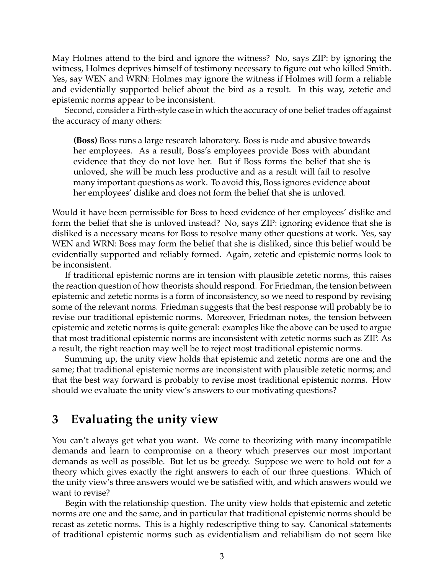May Holmes attend to the bird and ignore the witness? No, says ZIP: by ignoring the witness, Holmes deprives himself of testimony necessary to figure out who killed Smith. Yes, say WEN and WRN: Holmes may ignore the witness if Holmes will form a reliable and evidentially supported belief about the bird as a result. In this way, zetetic and epistemic norms appear to be inconsistent.

Second, consider a Firth-style case in which the accuracy of one belief trades off against the accuracy of many others:

**(Boss)** Boss runs a large research laboratory. Boss is rude and abusive towards her employees. As a result, Boss's employees provide Boss with abundant evidence that they do not love her. But if Boss forms the belief that she is unloved, she will be much less productive and as a result will fail to resolve many important questions as work. To avoid this, Boss ignores evidence about her employees' dislike and does not form the belief that she is unloved.

Would it have been permissible for Boss to heed evidence of her employees' dislike and form the belief that she is unloved instead? No, says ZIP: ignoring evidence that she is disliked is a necessary means for Boss to resolve many other questions at work. Yes, say WEN and WRN: Boss may form the belief that she is disliked, since this belief would be evidentially supported and reliably formed. Again, zetetic and epistemic norms look to be inconsistent.

If traditional epistemic norms are in tension with plausible zetetic norms, this raises the reaction question of how theorists should respond. For Friedman, the tension between epistemic and zetetic norms is a form of inconsistency, so we need to respond by revising some of the relevant norms. Friedman suggests that the best response will probably be to revise our traditional epistemic norms. Moreover, Friedman notes, the tension between epistemic and zetetic norms is quite general: examples like the above can be used to argue that most traditional epistemic norms are inconsistent with zetetic norms such as ZIP. As a result, the right reaction may well be to reject most traditional epistemic norms.

Summing up, the unity view holds that epistemic and zetetic norms are one and the same; that traditional epistemic norms are inconsistent with plausible zetetic norms; and that the best way forward is probably to revise most traditional epistemic norms. How should we evaluate the unity view's answers to our motivating questions?

## **3 Evaluating the unity view**

You can't always get what you want. We come to theorizing with many incompatible demands and learn to compromise on a theory which preserves our most important demands as well as possible. But let us be greedy. Suppose we were to hold out for a theory which gives exactly the right answers to each of our three questions. Which of the unity view's three answers would we be satisfied with, and which answers would we want to revise?

Begin with the relationship question. The unity view holds that epistemic and zetetic norms are one and the same, and in particular that traditional epistemic norms should be recast as zetetic norms. This is a highly redescriptive thing to say. Canonical statements of traditional epistemic norms such as evidentialism and reliabilism do not seem like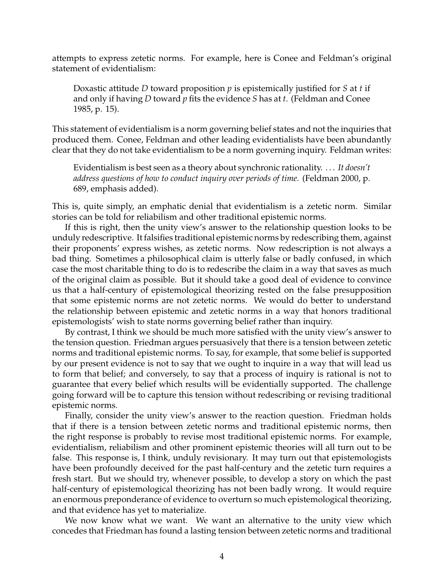attempts to express zetetic norms. For example, here is Conee and Feldman's original statement of evidentialism:

Doxastic attitude *D* toward proposition *p* is epistemically justified for *S* at *t* if and only if having *D* toward *p* fits the evidence *S* has at *t*. (Feldman and Conee 1985, p. 15).

This statement of evidentialism is a norm governing belief states and not the inquiries that produced them. Conee, Feldman and other leading evidentialists have been abundantly clear that they do not take evidentialism to be a norm governing inquiry. Feldman writes:

Evidentialism is best seen as a theory about synchronic rationality. . . . *It doesn't address questions of how to conduct inquiry over periods of time.* (Feldman 2000, p. 689, emphasis added).

This is, quite simply, an emphatic denial that evidentialism is a zetetic norm. Similar stories can be told for reliabilism and other traditional epistemic norms.

If this is right, then the unity view's answer to the relationship question looks to be unduly redescriptive. It falsifies traditional epistemic norms by redescribing them, against their proponents' express wishes, as zetetic norms. Now redescription is not always a bad thing. Sometimes a philosophical claim is utterly false or badly confused, in which case the most charitable thing to do is to redescribe the claim in a way that saves as much of the original claim as possible. But it should take a good deal of evidence to convince us that a half-century of epistemological theorizing rested on the false presupposition that some epistemic norms are not zetetic norms. We would do better to understand the relationship between epistemic and zetetic norms in a way that honors traditional epistemologists' wish to state norms governing belief rather than inquiry.

By contrast, I think we should be much more satisfied with the unity view's answer to the tension question. Friedman argues persuasively that there is a tension between zetetic norms and traditional epistemic norms. To say, for example, that some belief is supported by our present evidence is not to say that we ought to inquire in a way that will lead us to form that belief; and conversely, to say that a process of inquiry is rational is not to guarantee that every belief which results will be evidentially supported. The challenge going forward will be to capture this tension without redescribing or revising traditional epistemic norms.

Finally, consider the unity view's answer to the reaction question. Friedman holds that if there is a tension between zetetic norms and traditional epistemic norms, then the right response is probably to revise most traditional epistemic norms. For example, evidentialism, reliabilism and other prominent epistemic theories will all turn out to be false. This response is, I think, unduly revisionary. It may turn out that epistemologists have been profoundly deceived for the past half-century and the zetetic turn requires a fresh start. But we should try, whenever possible, to develop a story on which the past half-century of epistemological theorizing has not been badly wrong. It would require an enormous preponderance of evidence to overturn so much epistemological theorizing, and that evidence has yet to materialize.

We now know what we want. We want an alternative to the unity view which concedes that Friedman has found a lasting tension between zetetic norms and traditional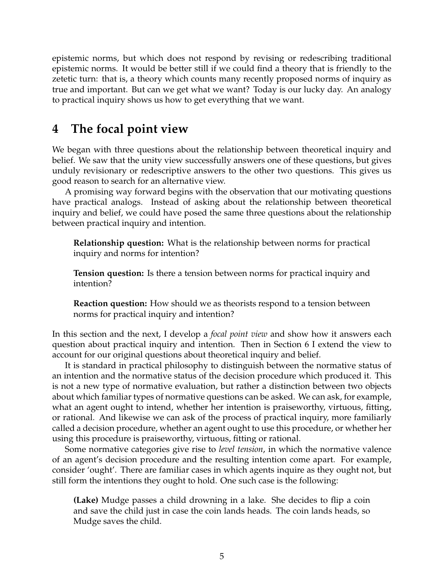epistemic norms, but which does not respond by revising or redescribing traditional epistemic norms. It would be better still if we could find a theory that is friendly to the zetetic turn: that is, a theory which counts many recently proposed norms of inquiry as true and important. But can we get what we want? Today is our lucky day. An analogy to practical inquiry shows us how to get everything that we want.

## **4 The focal point view**

We began with three questions about the relationship between theoretical inquiry and belief. We saw that the unity view successfully answers one of these questions, but gives unduly revisionary or redescriptive answers to the other two questions. This gives us good reason to search for an alternative view.

A promising way forward begins with the observation that our motivating questions have practical analogs. Instead of asking about the relationship between theoretical inquiry and belief, we could have posed the same three questions about the relationship between practical inquiry and intention.

**Relationship question:** What is the relationship between norms for practical inquiry and norms for intention?

**Tension question:** Is there a tension between norms for practical inquiry and intention?

**Reaction question:** How should we as theorists respond to a tension between norms for practical inquiry and intention?

In this section and the next, I develop a *focal point view* and show how it answers each question about practical inquiry and intention. Then in Section 6 I extend the view to account for our original questions about theoretical inquiry and belief.

It is standard in practical philosophy to distinguish between the normative status of an intention and the normative status of the decision procedure which produced it. This is not a new type of normative evaluation, but rather a distinction between two objects about which familiar types of normative questions can be asked. We can ask, for example, what an agent ought to intend, whether her intention is praiseworthy, virtuous, fitting, or rational. And likewise we can ask of the process of practical inquiry, more familiarly called a decision procedure, whether an agent ought to use this procedure, or whether her using this procedure is praiseworthy, virtuous, fitting or rational.

Some normative categories give rise to *level tension*, in which the normative valence of an agent's decision procedure and the resulting intention come apart. For example, consider 'ought'. There are familiar cases in which agents inquire as they ought not, but still form the intentions they ought to hold. One such case is the following:

**(Lake)** Mudge passes a child drowning in a lake. She decides to flip a coin and save the child just in case the coin lands heads. The coin lands heads, so Mudge saves the child.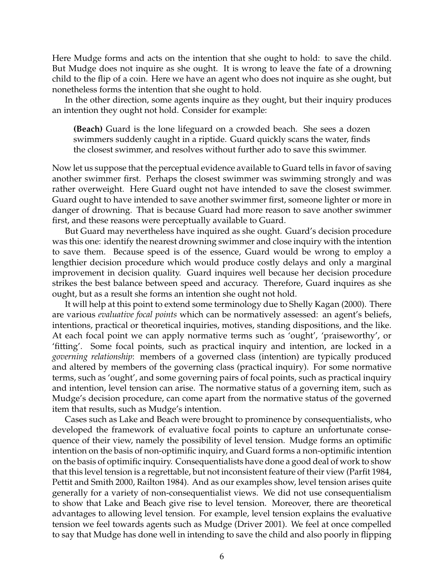Here Mudge forms and acts on the intention that she ought to hold: to save the child. But Mudge does not inquire as she ought. It is wrong to leave the fate of a drowning child to the flip of a coin. Here we have an agent who does not inquire as she ought, but nonetheless forms the intention that she ought to hold.

In the other direction, some agents inquire as they ought, but their inquiry produces an intention they ought not hold. Consider for example:

**(Beach)** Guard is the lone lifeguard on a crowded beach. She sees a dozen swimmers suddenly caught in a riptide. Guard quickly scans the water, finds the closest swimmer, and resolves without further ado to save this swimmer.

Now let us suppose that the perceptual evidence available to Guard tells in favor of saving another swimmer first. Perhaps the closest swimmer was swimming strongly and was rather overweight. Here Guard ought not have intended to save the closest swimmer. Guard ought to have intended to save another swimmer first, someone lighter or more in danger of drowning. That is because Guard had more reason to save another swimmer first, and these reasons were perceptually available to Guard.

But Guard may nevertheless have inquired as she ought. Guard's decision procedure was this one: identify the nearest drowning swimmer and close inquiry with the intention to save them. Because speed is of the essence, Guard would be wrong to employ a lengthier decision procedure which would produce costly delays and only a marginal improvement in decision quality. Guard inquires well because her decision procedure strikes the best balance between speed and accuracy. Therefore, Guard inquires as she ought, but as a result she forms an intention she ought not hold.

It will help at this point to extend some terminology due to Shelly Kagan (2000). There are various *evaluative focal points* which can be normatively assessed: an agent's beliefs, intentions, practical or theoretical inquiries, motives, standing dispositions, and the like. At each focal point we can apply normative terms such as 'ought', 'praiseworthy', or 'fitting'. Some focal points, such as practical inquiry and intention, are locked in a *governing relationship*: members of a governed class (intention) are typically produced and altered by members of the governing class (practical inquiry). For some normative terms, such as 'ought', and some governing pairs of focal points, such as practical inquiry and intention, level tension can arise. The normative status of a governing item, such as Mudge's decision procedure, can come apart from the normative status of the governed item that results, such as Mudge's intention.

Cases such as Lake and Beach were brought to prominence by consequentialists, who developed the framework of evaluative focal points to capture an unfortunate consequence of their view, namely the possibility of level tension. Mudge forms an optimific intention on the basis of non-optimific inquiry, and Guard forms a non-optimific intention on the basis of optimific inquiry. Consequentialists have done a good deal of work to show that this level tension is a regrettable, but not inconsistent feature of their view (Parfit 1984, Pettit and Smith 2000, Railton 1984). And as our examples show, level tension arises quite generally for a variety of non-consequentialist views. We did not use consequentialism to show that Lake and Beach give rise to level tension. Moreover, there are theoretical advantages to allowing level tension. For example, level tension explains the evaluative tension we feel towards agents such as Mudge (Driver 2001). We feel at once compelled to say that Mudge has done well in intending to save the child and also poorly in flipping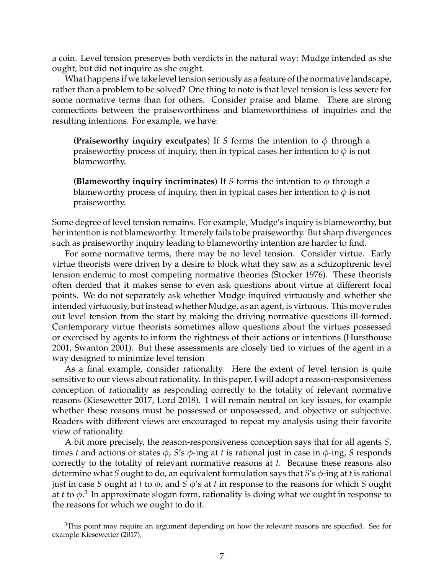a coin. Level tension preserves both verdicts in the natural way: Mudge intended as she ought, but did not inquire as she ought.

What happens if we take level tension seriously as a feature of the normative landscape, rather than a problem to be solved? One thing to note is that level tension is less severe for some normative terms than for others. Consider praise and blame. There are strong connections between the praiseworthiness and blameworthiness of inquiries and the resulting intentions. For example, we have:

**(Praiseworthy inquiry exculpates)** If *S* forms the intention to  $\phi$  through a praiseworthy process of inquiry, then in typical cases her intention to  $\phi$  is not blameworthy.

**(Blameworthy inquiry incriminates)** If *S* forms the intention to  $\phi$  through a blameworthy process of inquiry, then in typical cases her intention to  $\phi$  is not praiseworthy.

Some degree of level tension remains. For example, Mudge's inquiry is blameworthy, but her intention is not blameworthy. It merely fails to be praiseworthy. But sharp divergences such as praiseworthy inquiry leading to blameworthy intention are harder to find.

For some normative terms, there may be no level tension. Consider virtue. Early virtue theorists were driven by a desire to block what they saw as a schizophrenic level tension endemic to most competing normative theories (Stocker 1976). These theorists often denied that it makes sense to even ask questions about virtue at different focal points. We do not separately ask whether Mudge inquired virtuously and whether she intended virtuously, but instead whether Mudge, as an agent, is virtuous. This move rules out level tension from the start by making the driving normative questions ill-formed. Contemporary virtue theorists sometimes allow questions about the virtues possessed or exercised by agents to inform the rightness of their actions or intentions (Hursthouse 2001, Swanton 2001). But these assessments are closely tied to virtues of the agent in a way designed to minimize level tension

As a final example, consider rationality. Here the extent of level tension is quite sensitive to our views about rationality. In this paper, I will adopt a reason-responsiveness conception of rationality as responding correctly to the totality of relevant normative reasons (Kiesewetter 2017, Lord 2018). I will remain neutral on key issues, for example whether these reasons must be possessed or unpossessed, and objective or subjective. Readers with different views are encouraged to repeat my analysis using their favorite view of rationality.

A bit more precisely, the reason-responsiveness conception says that for all agents *S*, times *t* and actions or states φ, *S*'s φ-ing at *t* is rational just in case in φ-ing, *S* responds correctly to the totality of relevant normative reasons at *t*. Because these reasons also determine what *S* ought to do, an equivalent formulation says that *S*'s φ-ing at *t* is rational just in case *S* ought at *t* to φ, and *S* φ's at *t* in response to the reasons for which *S* ought at *t* to φ. 3 In approximate slogan form, rationality is doing what we ought in response to the reasons for which we ought to do it.

<sup>&</sup>lt;sup>3</sup>This point may require an argument depending on how the relevant reasons are specified. See for example Kiesewetter (2017).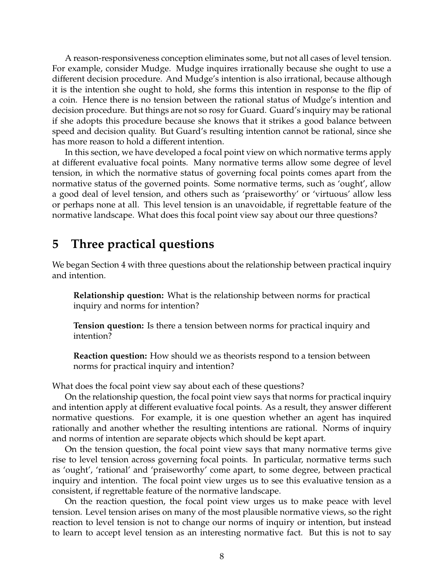A reason-responsiveness conception eliminates some, but not all cases of level tension. For example, consider Mudge. Mudge inquires irrationally because she ought to use a different decision procedure. And Mudge's intention is also irrational, because although it is the intention she ought to hold, she forms this intention in response to the flip of a coin. Hence there is no tension between the rational status of Mudge's intention and decision procedure. But things are not so rosy for Guard. Guard's inquiry may be rational if she adopts this procedure because she knows that it strikes a good balance between speed and decision quality. But Guard's resulting intention cannot be rational, since she has more reason to hold a different intention.

In this section, we have developed a focal point view on which normative terms apply at different evaluative focal points. Many normative terms allow some degree of level tension, in which the normative status of governing focal points comes apart from the normative status of the governed points. Some normative terms, such as 'ought', allow a good deal of level tension, and others such as 'praiseworthy' or 'virtuous' allow less or perhaps none at all. This level tension is an unavoidable, if regrettable feature of the normative landscape. What does this focal point view say about our three questions?

## **5 Three practical questions**

We began Section 4 with three questions about the relationship between practical inquiry and intention.

**Relationship question:** What is the relationship between norms for practical inquiry and norms for intention?

**Tension question:** Is there a tension between norms for practical inquiry and intention?

**Reaction question:** How should we as theorists respond to a tension between norms for practical inquiry and intention?

What does the focal point view say about each of these questions?

On the relationship question, the focal point view says that norms for practical inquiry and intention apply at different evaluative focal points. As a result, they answer different normative questions. For example, it is one question whether an agent has inquired rationally and another whether the resulting intentions are rational. Norms of inquiry and norms of intention are separate objects which should be kept apart.

On the tension question, the focal point view says that many normative terms give rise to level tension across governing focal points. In particular, normative terms such as 'ought', 'rational' and 'praiseworthy' come apart, to some degree, between practical inquiry and intention. The focal point view urges us to see this evaluative tension as a consistent, if regrettable feature of the normative landscape.

On the reaction question, the focal point view urges us to make peace with level tension. Level tension arises on many of the most plausible normative views, so the right reaction to level tension is not to change our norms of inquiry or intention, but instead to learn to accept level tension as an interesting normative fact. But this is not to say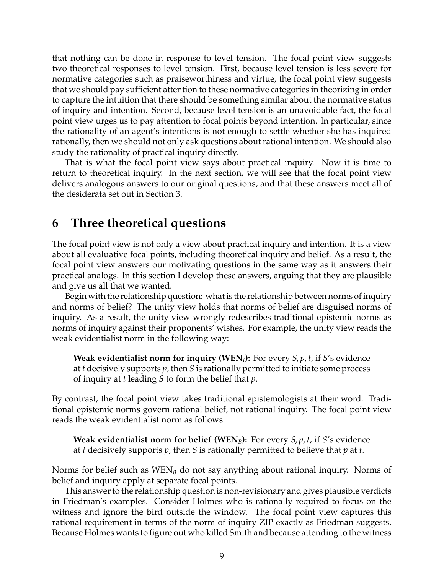that nothing can be done in response to level tension. The focal point view suggests two theoretical responses to level tension. First, because level tension is less severe for normative categories such as praiseworthiness and virtue, the focal point view suggests that we should pay sufficient attention to these normative categories in theorizing in order to capture the intuition that there should be something similar about the normative status of inquiry and intention. Second, because level tension is an unavoidable fact, the focal point view urges us to pay attention to focal points beyond intention. In particular, since the rationality of an agent's intentions is not enough to settle whether she has inquired rationally, then we should not only ask questions about rational intention. We should also study the rationality of practical inquiry directly.

That is what the focal point view says about practical inquiry. Now it is time to return to theoretical inquiry. In the next section, we will see that the focal point view delivers analogous answers to our original questions, and that these answers meet all of the desiderata set out in Section 3.

## **6 Three theoretical questions**

The focal point view is not only a view about practical inquiry and intention. It is a view about all evaluative focal points, including theoretical inquiry and belief. As a result, the focal point view answers our motivating questions in the same way as it answers their practical analogs. In this section I develop these answers, arguing that they are plausible and give us all that we wanted.

Begin with the relationship question: what is the relationship between norms of inquiry and norms of belief? The unity view holds that norms of belief are disguised norms of inquiry. As a result, the unity view wrongly redescribes traditional epistemic norms as norms of inquiry against their proponents' wishes. For example, the unity view reads the weak evidentialist norm in the following way:

**Weak evidentialist norm for inquiry (WEN***I***):** For every *S*, *p*, *t*, if *S*'s evidence at *t* decisively supports *p*, then *S* is rationally permitted to initiate some process of inquiry at *t* leading *S* to form the belief that *p*.

By contrast, the focal point view takes traditional epistemologists at their word. Traditional epistemic norms govern rational belief, not rational inquiry. The focal point view reads the weak evidentialist norm as follows:

**Weak evidentialist norm for belief (WEN***B***):** For every *S*, *p*, *t*, if *S*'s evidence at *t* decisively supports *p*, then *S* is rationally permitted to believe that *p* at *t*.

Norms for belief such as WEN*<sup>B</sup>* do not say anything about rational inquiry. Norms of belief and inquiry apply at separate focal points.

This answer to the relationship question is non-revisionary and gives plausible verdicts in Friedman's examples. Consider Holmes who is rationally required to focus on the witness and ignore the bird outside the window. The focal point view captures this rational requirement in terms of the norm of inquiry ZIP exactly as Friedman suggests. Because Holmes wants to figure out who killed Smith and because attending to the witness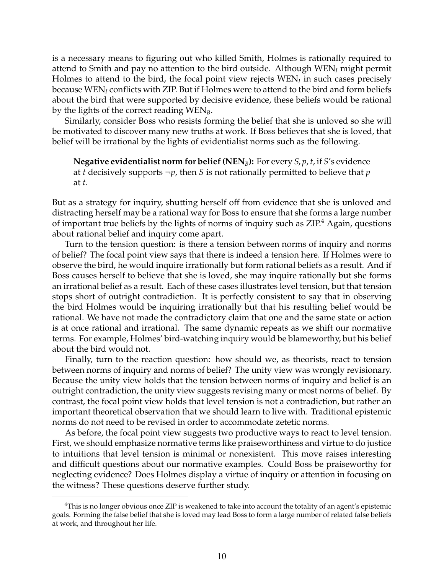is a necessary means to figuring out who killed Smith, Holmes is rationally required to attend to Smith and pay no attention to the bird outside. Although WEN*<sup>I</sup>* might permit Holmes to attend to the bird, the focal point view rejects WEN*<sup>I</sup>* in such cases precisely because WEN*<sup>I</sup>* conflicts with ZIP. But if Holmes were to attend to the bird and form beliefs about the bird that were supported by decisive evidence, these beliefs would be rational by the lights of the correct reading WEN*B*.

Similarly, consider Boss who resists forming the belief that she is unloved so she will be motivated to discover many new truths at work. If Boss believes that she is loved, that belief will be irrational by the lights of evidentialist norms such as the following.

**Negative evidentialist norm for belief (NEN***B***):** For every *S*, *p*, *t*, if *S*'s evidence at *t* decisively supports ¬*p*, then *S* is not rationally permitted to believe that *p* at *t*.

But as a strategy for inquiry, shutting herself off from evidence that she is unloved and distracting herself may be a rational way for Boss to ensure that she forms a large number of important true beliefs by the lights of norms of inquiry such as ZIP.<sup>4</sup> Again, questions about rational belief and inquiry come apart.

Turn to the tension question: is there a tension between norms of inquiry and norms of belief? The focal point view says that there is indeed a tension here. If Holmes were to observe the bird, he would inquire irrationally but form rational beliefs as a result. And if Boss causes herself to believe that she is loved, she may inquire rationally but she forms an irrational belief as a result. Each of these cases illustrates level tension, but that tension stops short of outright contradiction. It is perfectly consistent to say that in observing the bird Holmes would be inquiring irrationally but that his resulting belief would be rational. We have not made the contradictory claim that one and the same state or action is at once rational and irrational. The same dynamic repeats as we shift our normative terms. For example, Holmes' bird-watching inquiry would be blameworthy, but his belief about the bird would not.

Finally, turn to the reaction question: how should we, as theorists, react to tension between norms of inquiry and norms of belief? The unity view was wrongly revisionary. Because the unity view holds that the tension between norms of inquiry and belief is an outright contradiction, the unity view suggests revising many or most norms of belief. By contrast, the focal point view holds that level tension is not a contradiction, but rather an important theoretical observation that we should learn to live with. Traditional epistemic norms do not need to be revised in order to accommodate zetetic norms.

As before, the focal point view suggests two productive ways to react to level tension. First, we should emphasize normative terms like praiseworthiness and virtue to do justice to intuitions that level tension is minimal or nonexistent. This move raises interesting and difficult questions about our normative examples. Could Boss be praiseworthy for neglecting evidence? Does Holmes display a virtue of inquiry or attention in focusing on the witness? These questions deserve further study.

<sup>4</sup>This is no longer obvious once ZIP is weakened to take into account the totality of an agent's epistemic goals. Forming the false belief that she is loved may lead Boss to form a large number of related false beliefs at work, and throughout her life.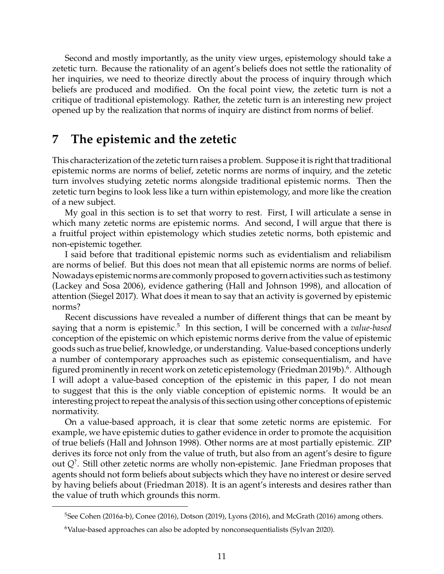Second and mostly importantly, as the unity view urges, epistemology should take a zetetic turn. Because the rationality of an agent's beliefs does not settle the rationality of her inquiries, we need to theorize directly about the process of inquiry through which beliefs are produced and modified. On the focal point view, the zetetic turn is not a critique of traditional epistemology. Rather, the zetetic turn is an interesting new project opened up by the realization that norms of inquiry are distinct from norms of belief.

## **7 The epistemic and the zetetic**

This characterization of the zetetic turn raises a problem. Suppose it is right that traditional epistemic norms are norms of belief, zetetic norms are norms of inquiry, and the zetetic turn involves studying zetetic norms alongside traditional epistemic norms. Then the zetetic turn begins to look less like a turn within epistemology, and more like the creation of a new subject.

My goal in this section is to set that worry to rest. First, I will articulate a sense in which many zetetic norms are epistemic norms. And second, I will argue that there is a fruitful project within epistemology which studies zetetic norms, both epistemic and non-epistemic together.

I said before that traditional epistemic norms such as evidentialism and reliabilism are norms of belief. But this does not mean that all epistemic norms are norms of belief. Nowadays epistemic norms are commonly proposed to govern activities such as testimony (Lackey and Sosa 2006), evidence gathering (Hall and Johnson 1998), and allocation of attention (Siegel 2017). What does it mean to say that an activity is governed by epistemic norms?

Recent discussions have revealed a number of different things that can be meant by saying that a norm is epistemic.<sup>5</sup> In this section, I will be concerned with a *value-based* conception of the epistemic on which epistemic norms derive from the value of epistemic goods such as true belief, knowledge, or understanding. Value-based conceptions underly a number of contemporary approaches such as epistemic consequentialism, and have figured prominently in recent work on zetetic epistemology (Friedman 2019b).<sup>6</sup>. Although I will adopt a value-based conception of the epistemic in this paper, I do not mean to suggest that this is the only viable conception of epistemic norms. It would be an interesting project to repeat the analysis of this section using other conceptions of epistemic normativity.

On a value-based approach, it is clear that some zetetic norms are epistemic. For example, we have epistemic duties to gather evidence in order to promote the acquisition of true beliefs (Hall and Johnson 1998). Other norms are at most partially epistemic. ZIP derives its force not only from the value of truth, but also from an agent's desire to figure out *Q*? . Still other zetetic norms are wholly non-epistemic. Jane Friedman proposes that agents should not form beliefs about subjects which they have no interest or desire served by having beliefs about (Friedman 2018). It is an agent's interests and desires rather than the value of truth which grounds this norm.

<sup>5</sup>See Cohen (2016a-b), Conee (2016), Dotson (2019), Lyons (2016), and McGrath (2016) among others.

<sup>&</sup>lt;sup>6</sup>Value-based approaches can also be adopted by nonconsequentialists (Sylvan 2020).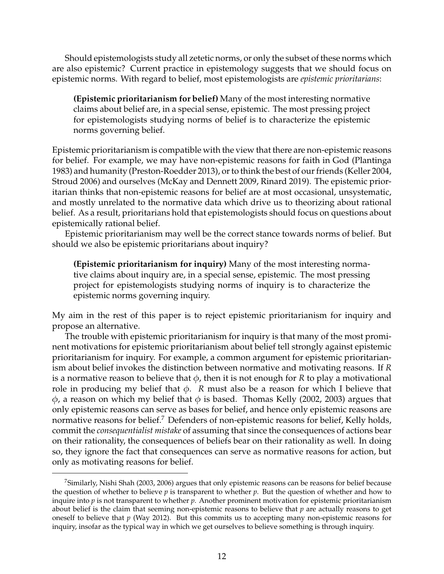Should epistemologists study all zetetic norms, or only the subset of these norms which are also epistemic? Current practice in epistemology suggests that we should focus on epistemic norms. With regard to belief, most epistemologists are *epistemic prioritarians*:

**(Epistemic prioritarianism for belief)** Many of the most interesting normative claims about belief are, in a special sense, epistemic. The most pressing project for epistemologists studying norms of belief is to characterize the epistemic norms governing belief.

Epistemic prioritarianism is compatible with the view that there are non-epistemic reasons for belief. For example, we may have non-epistemic reasons for faith in God (Plantinga 1983) and humanity (Preston-Roedder 2013), or to think the best of our friends (Keller 2004, Stroud 2006) and ourselves (McKay and Dennett 2009, Rinard 2019). The epistemic prioritarian thinks that non-epistemic reasons for belief are at most occasional, unsystematic, and mostly unrelated to the normative data which drive us to theorizing about rational belief. As a result, prioritarians hold that epistemologists should focus on questions about epistemically rational belief.

Epistemic prioritarianism may well be the correct stance towards norms of belief. But should we also be epistemic prioritarians about inquiry?

**(Epistemic prioritarianism for inquiry)** Many of the most interesting normative claims about inquiry are, in a special sense, epistemic. The most pressing project for epistemologists studying norms of inquiry is to characterize the epistemic norms governing inquiry.

My aim in the rest of this paper is to reject epistemic prioritarianism for inquiry and propose an alternative.

The trouble with epistemic prioritarianism for inquiry is that many of the most prominent motivations for epistemic prioritarianism about belief tell strongly against epistemic prioritarianism for inquiry. For example, a common argument for epistemic prioritarianism about belief invokes the distinction between normative and motivating reasons. If *R* is a normative reason to believe that  $\phi$ , then it is not enough for *R* to play a motivational role in producing my belief that  $φ$ . *R* must also be a reason for which I believe that  $\phi$ , a reason on which my belief that  $\phi$  is based. Thomas Kelly (2002, 2003) argues that only epistemic reasons can serve as bases for belief, and hence only epistemic reasons are normative reasons for belief.<sup>7</sup> Defenders of non-epistemic reasons for belief, Kelly holds, commit the *consequentialist mistake* of assuming that since the consequences of actions bear on their rationality, the consequences of beliefs bear on their rationality as well. In doing so, they ignore the fact that consequences can serve as normative reasons for action, but only as motivating reasons for belief.

<sup>7</sup>Similarly, Nishi Shah (2003, 2006) argues that only epistemic reasons can be reasons for belief because the question of whether to believe *p* is transparent to whether *p*. But the question of whether and how to inquire into *p* is not transparent to whether *p*. Another prominent motivation for epistemic prioritarianism about belief is the claim that seeming non-epistemic reasons to believe that *p* are actually reasons to get oneself to believe that  $p$  (Way 2012). But this commits us to accepting many non-epistemic reasons for inquiry, insofar as the typical way in which we get ourselves to believe something is through inquiry.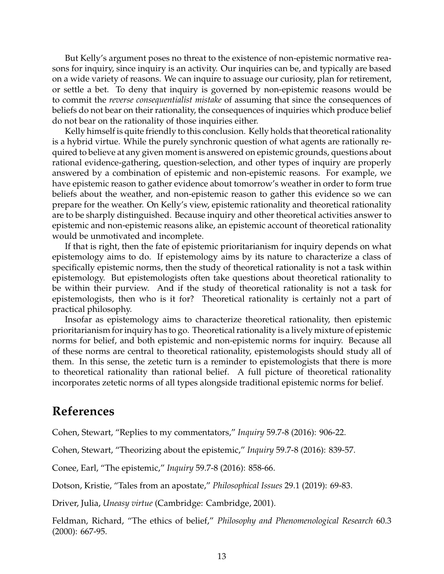But Kelly's argument poses no threat to the existence of non-epistemic normative reasons for inquiry, since inquiry is an activity. Our inquiries can be, and typically are based on a wide variety of reasons. We can inquire to assuage our curiosity, plan for retirement, or settle a bet. To deny that inquiry is governed by non-epistemic reasons would be to commit the *reverse consequentialist mistake* of assuming that since the consequences of beliefs do not bear on their rationality, the consequences of inquiries which produce belief do not bear on the rationality of those inquiries either.

Kelly himself is quite friendly to this conclusion. Kelly holds that theoretical rationality is a hybrid virtue. While the purely synchronic question of what agents are rationally required to believe at any given moment is answered on epistemic grounds, questions about rational evidence-gathering, question-selection, and other types of inquiry are properly answered by a combination of epistemic and non-epistemic reasons. For example, we have epistemic reason to gather evidence about tomorrow's weather in order to form true beliefs about the weather, and non-epistemic reason to gather this evidence so we can prepare for the weather. On Kelly's view, epistemic rationality and theoretical rationality are to be sharply distinguished. Because inquiry and other theoretical activities answer to epistemic and non-epistemic reasons alike, an epistemic account of theoretical rationality would be unmotivated and incomplete.

If that is right, then the fate of epistemic prioritarianism for inquiry depends on what epistemology aims to do. If epistemology aims by its nature to characterize a class of specifically epistemic norms, then the study of theoretical rationality is not a task within epistemology. But epistemologists often take questions about theoretical rationality to be within their purview. And if the study of theoretical rationality is not a task for epistemologists, then who is it for? Theoretical rationality is certainly not a part of practical philosophy.

Insofar as epistemology aims to characterize theoretical rationality, then epistemic prioritarianism for inquiry has to go. Theoretical rationality is a lively mixture of epistemic norms for belief, and both epistemic and non-epistemic norms for inquiry. Because all of these norms are central to theoretical rationality, epistemologists should study all of them. In this sense, the zetetic turn is a reminder to epistemologists that there is more to theoretical rationality than rational belief. A full picture of theoretical rationality incorporates zetetic norms of all types alongside traditional epistemic norms for belief.

## **References**

Cohen, Stewart, "Replies to my commentators," *Inquiry* 59.7-8 (2016): 906-22.

Cohen, Stewart, "Theorizing about the epistemic," *Inquiry* 59.7-8 (2016): 839-57.

Conee, Earl, "The epistemic," *Inquiry* 59.7-8 (2016): 858-66.

Dotson, Kristie, "Tales from an apostate," *Philosophical Issues* 29.1 (2019): 69-83.

Driver, Julia, *Uneasy virtue* (Cambridge: Cambridge, 2001).

Feldman, Richard, "The ethics of belief," *Philosophy and Phenomenological Research* 60.3 (2000): 667-95.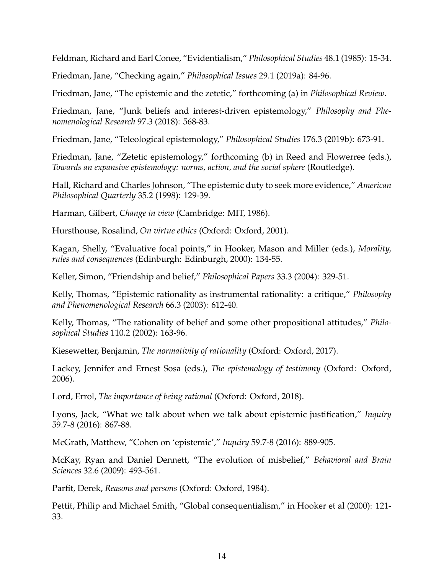Feldman, Richard and Earl Conee, "Evidentialism," *Philosophical Studies* 48.1 (1985): 15-34.

Friedman, Jane, "Checking again," *Philosophical Issues* 29.1 (2019a): 84-96.

Friedman, Jane, "The epistemic and the zetetic," forthcoming (a) in *Philosophical Review*.

Friedman, Jane, "Junk beliefs and interest-driven epistemology," *Philosophy and Phenomenological Research* 97.3 (2018): 568-83.

Friedman, Jane, "Teleological epistemology," *Philosophical Studies* 176.3 (2019b): 673-91.

Friedman, Jane, "Zetetic epistemology," forthcoming (b) in Reed and Flowerree (eds.), *Towards an expansive epistemology: norms, action, and the social sphere* (Routledge).

Hall, Richard and Charles Johnson, "The epistemic duty to seek more evidence," *American Philosophical Quarterly* 35.2 (1998): 129-39.

Harman, Gilbert, *Change in view* (Cambridge: MIT, 1986).

Hursthouse, Rosalind, *On virtue ethics* (Oxford: Oxford, 2001).

Kagan, Shelly, "Evaluative focal points," in Hooker, Mason and Miller (eds.), *Morality, rules and consequences* (Edinburgh: Edinburgh, 2000): 134-55.

Keller, Simon, "Friendship and belief," *Philosophical Papers* 33.3 (2004): 329-51.

Kelly, Thomas, "Epistemic rationality as instrumental rationality: a critique," *Philosophy and Phenomenological Research* 66.3 (2003): 612-40.

Kelly, Thomas, "The rationality of belief and some other propositional attitudes," *Philosophical Studies* 110.2 (2002): 163-96.

Kiesewetter, Benjamin, *The normativity of rationality* (Oxford: Oxford, 2017).

Lackey, Jennifer and Ernest Sosa (eds.), *The epistemology of testimony* (Oxford: Oxford, 2006).

Lord, Errol, *The importance of being rational* (Oxford: Oxford, 2018).

Lyons, Jack, "What we talk about when we talk about epistemic justification," *Inquiry* 59.7-8 (2016): 867-88.

McGrath, Matthew, "Cohen on 'epistemic'," *Inquiry* 59.7-8 (2016): 889-905.

McKay, Ryan and Daniel Dennett, "The evolution of misbelief," *Behavioral and Brain Sciences* 32.6 (2009): 493-561.

Parfit, Derek, *Reasons and persons* (Oxford: Oxford, 1984).

Pettit, Philip and Michael Smith, "Global consequentialism," in Hooker et al (2000): 121- 33.